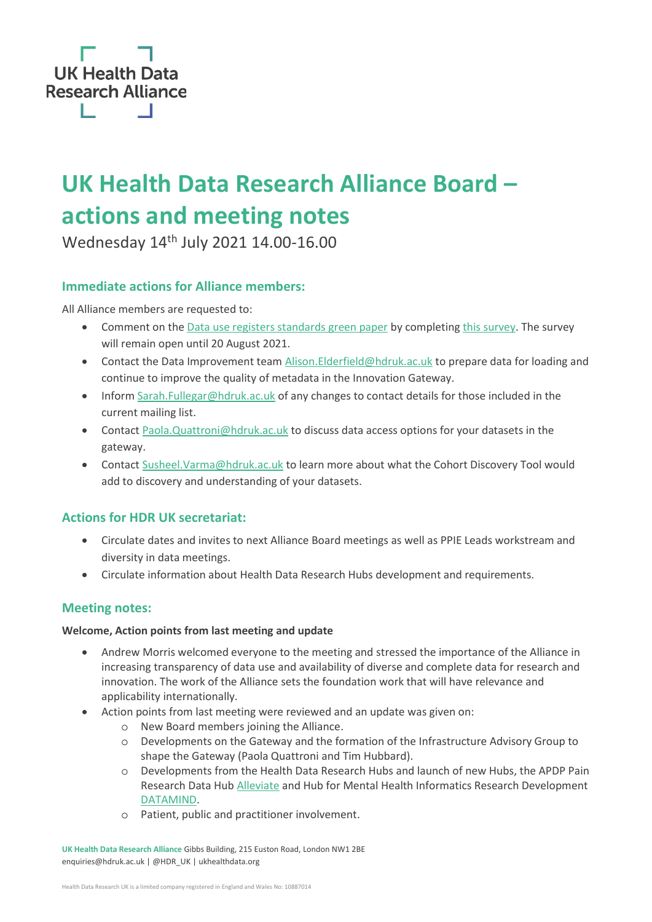

# **UK Health Data Research Alliance Board – actions and meeting notes**

Wednesday 14th July 2021 14.00-16.00

## **Immediate actions for Alliance members:**

All Alliance members are requested to:

- Comment on the [Data use registers standards green paper](https://zenodo.org/record/5084761#.YPG0XuhKg2x) by completin[g this survey.](https://www.surveymonkey.co.uk/r/MJ7LYL7) The survey will remain open until 20 August 2021.
- Contact the Data Improvement team [Alison.Elderfield@hdruk.ac.uk](mailto:Alison.Elderfield@hdruk.ac.uk) to prepare data for loading and continue to improve the quality of metadata in the Innovation Gateway.
- Infor[m Sarah.Fullegar@hdruk.ac.uk](mailto:Sarah.Fullegar@hdruk.ac.uk) of any changes to contact details for those included in the current mailing list.
- Contact [Paola.Quattroni@hdruk.ac.uk](mailto:Paola.Quattroni@hdruk.ac.uk) to discuss data access options for your datasets in the gateway.
- Contact [Susheel.Varma@hdruk.ac.uk](mailto:Susheel.Varma@hdruk.ac.uk) to learn more about what the Cohort Discovery Tool would add to discovery and understanding of your datasets.

## **Actions for HDR UK secretariat:**

- Circulate dates and invites to next Alliance Board meetings as well as PPIE Leads workstream and diversity in data meetings.
- Circulate information about Health Data Research Hubs development and requirements.

## **Meeting notes:**

#### **Welcome, Action points from last meeting and update**

- Andrew Morris welcomed everyone to the meeting and stressed the importance of the Alliance in increasing transparency of data use and availability of diverse and complete data for research and innovation. The work of the Alliance sets the foundation work that will have relevance and applicability internationally.
- Action points from last meeting were reviewed and an update was given on:
	- o New Board members joining the Alliance.
	- o Developments on the Gateway and the formation of the Infrastructure Advisory Group to shape the Gateway (Paola Quattroni and Tim Hubbard).
	- o Developments from the Health Data Research Hubs and launch of new Hubs, the APDP Pain Research Data Hub [Alleviate](https://www.hdruk.ac.uk/helping-with-health-data/our-hubs-across-the-uk/alleviate/#:~:text=Alleviate%20is%20the%20APDP%20Pain,the%20aim%20to%20improve%20lives.) and Hub for Mental Health Informatics Research Development [DATAMIND.](https://www.hdruk.ac.uk/helping-with-health-data/our-hubs-across-the-uk/datamind/)
	- o Patient, public and practitioner involvement.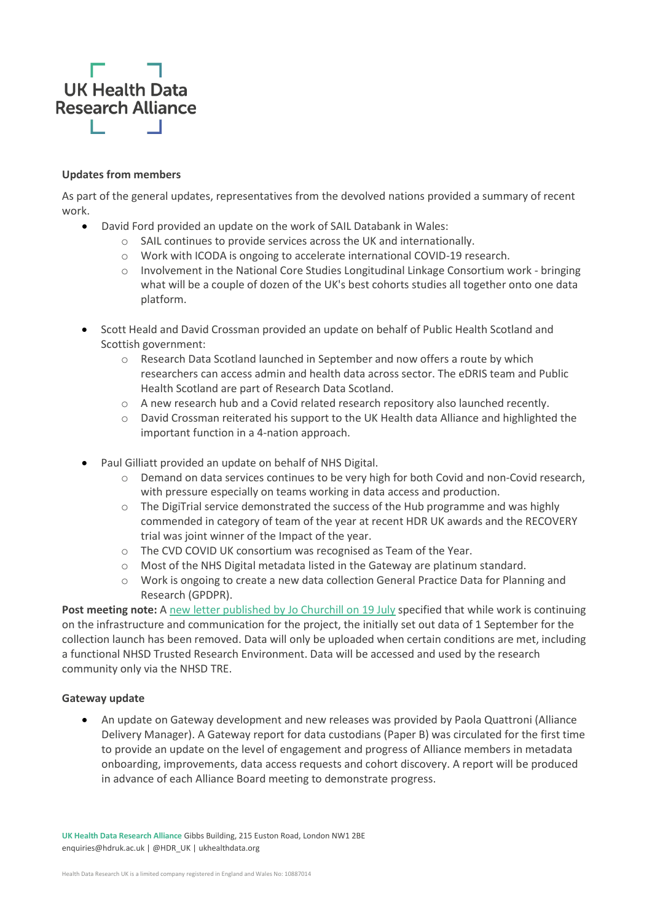

#### **Updates from members**

As part of the general updates, representatives from the devolved nations provided a summary of recent work.

- David Ford provided an update on the work of SAIL Databank in Wales:
	- o SAIL continues to provide services across the UK and internationally.
	- o Work with ICODA is ongoing to accelerate international COVID-19 research.
	- $\circ$  Involvement in the National Core Studies Longitudinal Linkage Consortium work bringing what will be a couple of dozen of the UK's best cohorts studies all together onto one data platform.
- Scott Heald and David Crossman provided an update on behalf of Public Health Scotland and Scottish government:
	- o Research Data Scotland launched in September and now offers a route by which researchers can access admin and health data across sector. The eDRIS team and Public Health Scotland are part of Research Data Scotland.
	- $\circ$  A new research hub and a Covid related research repository also launched recently.
	- o David Crossman reiterated his support to the UK Health data Alliance and highlighted the important function in a 4-nation approach.
- Paul Gilliatt provided an update on behalf of NHS Digital.
	- o Demand on data services continues to be very high for both Covid and non-Covid research, with pressure especially on teams working in data access and production.
	- $\circ$  The DigiTrial service demonstrated the success of the Hub programme and was highly commended in category of team of the year at recent HDR UK awards and the RECOVERY trial was joint winner of the Impact of the year.
	- o The CVD COVID UK consortium was recognised as Team of the Year.
	- o Most of the NHS Digital metadata listed in the Gateway are platinum standard.
	- o Work is ongoing to create a new data collection General Practice Data for Planning and Research (GPDPR).

**Post meeting note:** A [new letter published by Jo Churchill on 19 July](https://digital.nhs.uk/data-and-information/data-collections-and-data-sets/data-collections/general-practice-data-for-planning-and-research/secretary-of-state-letter-to-general-practice) specified that while work is continuing on the infrastructure and communication for the project, the initially set out data of 1 September for the collection launch has been removed. Data will only be uploaded when certain conditions are met, including a functional NHSD Trusted Research Environment. Data will be accessed and used by the research community only via the NHSD TRE.

#### **Gateway update**

• An update on Gateway development and new releases was provided by Paola Quattroni (Alliance Delivery Manager). A Gateway report for data custodians (Paper B) was circulated for the first time to provide an update on the level of engagement and progress of Alliance members in metadata onboarding, improvements, data access requests and cohort discovery. A report will be produced in advance of each Alliance Board meeting to demonstrate progress.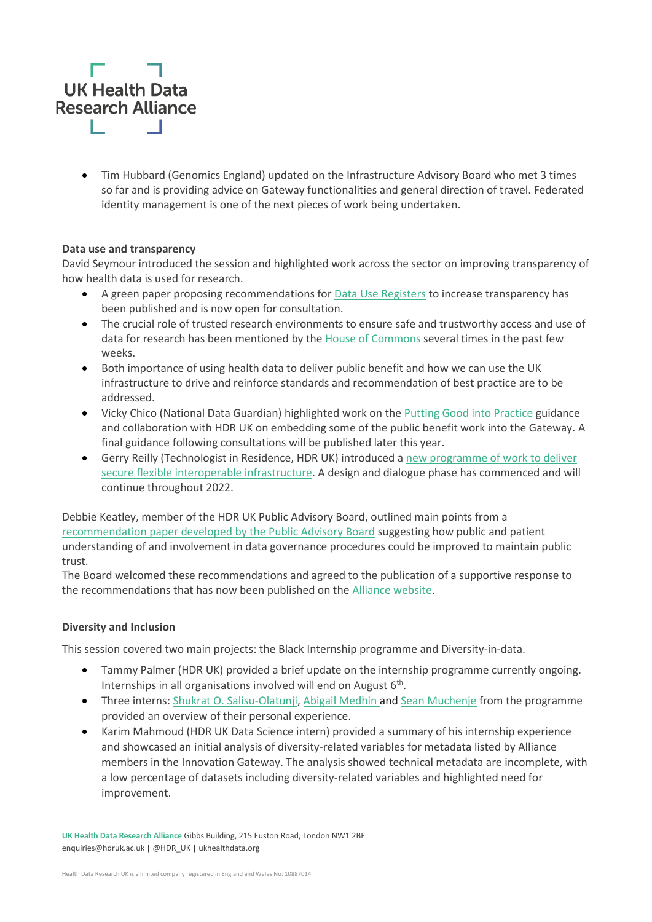

• Tim Hubbard (Genomics England) updated on the Infrastructure Advisory Board who met 3 times so far and is providing advice on Gateway functionalities and general direction of travel. Federated identity management is one of the next pieces of work being undertaken.

#### **Data use and transparency**

David Seymour introduced the session and highlighted work across the sector on improving transparency of how health data is used for research.

- A green paper proposing recommendations for [Data Use Registers](https://ukhealthdata.org/news/uk-health-data-research-alliance-seeks-feedback-on-a-data-use-registers-green-paper/) to increase transparency has been published and is now open for consultation.
- The crucial role of trusted research environments to ensure safe and trustworthy access and use of data for research has been mentioned by the [House of Commons](https://hansard.parliament.uk/commons/2021-06-24/debates/2FA13B90-5377-4E73-A941-80F6A536B560/UseOfPatientData) several times in the past few weeks.
- Both importance of using health data to deliver public benefit and how we can use the UK infrastructure to drive and reinforce standards and recommendation of best practice are to be addressed.
- Vicky Chico (National Data Guardian) highlighted work on the [Putting Good into](https://www.gov.uk/government/publications/putting-good-into-practice-a-public-dialogue-on-making-public-benefit-assessments-when-using-health-and-care-data) Practice guidance and collaboration with HDR UK on embedding some of the public benefit work into the Gateway. A final guidance following consultations will be published later this year.
- Gerry Reilly (Technologist in Residence, HDR UK) introduced a [new programme of work to deliver](https://www.hdruk.ac.uk/events/ukri-data-research-infrastructure-collaborative-design-dialogue-launch/)  [secure flexible interoperable infrastructure.](https://www.hdruk.ac.uk/events/ukri-data-research-infrastructure-collaborative-design-dialogue-launch/) A design and dialogue phase has commenced and will continue throughout 2022.

Debbie Keatley, member of the HDR UK Public Advisory Board, outlined main points from a [recommendation paper developed by the Public Advisory Board](https://www.hdruk.ac.uk/wp-content/uploads/2021/07/280621-PAB-Data-Access-procedures-paper-Building-trust-in-data-access-through-public-involvement-in-governance.pdf) suggesting how public and patient understanding of and involvement in data governance procedures could be improved to maintain public trust.

The Board welcomed these recommendations and agreed to the publication of a supportive response to the recommendations that has now been published on th[e Alliance website.](https://ukhealthdata.org/news/building-trust-in-data-access-through-patient-and-public-involvement-in-governance/)

#### **Diversity and Inclusion**

This session covered two main projects: the Black Internship programme and Diversity-in-data.

- Tammy Palmer (HDR UK) provided a brief update on the internship programme currently ongoing. Internships in all organisations involved will end on August 6<sup>th</sup>.
- Three interns: [Shukrat O. Salisu-Olatunji,](https://www.hdruk.ac.uk/people/shukrat-o-salisu-olatunji/) [Abigail Medhin a](https://www.hdruk.ac.uk/people/abigail-medhin/)nd [Sean Muchenje](https://www.hdruk.ac.uk/people/sean-muchenje/) from the programme provided an overview of their personal experience.
- Karim Mahmoud (HDR UK Data Science intern) provided a summary of his internship experience and showcased an initial analysis of diversity-related variables for metadata listed by Alliance members in the Innovation Gateway. The analysis showed technical metadata are incomplete, with a low percentage of datasets including diversity-related variables and highlighted need for improvement.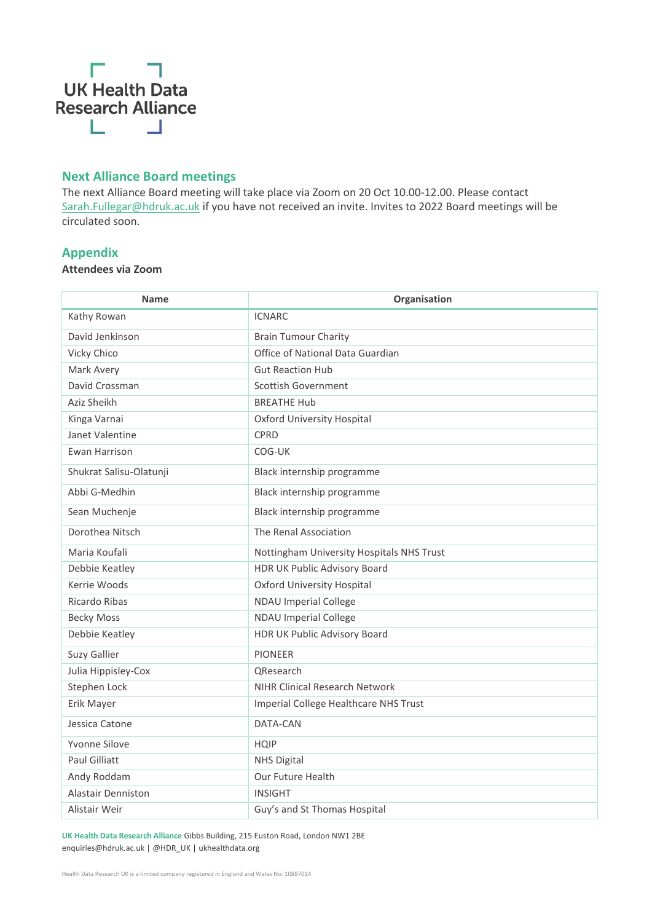

## **Next Alliance Board meetings**

The next Alliance Board meeting will take place via Zoom on 20 Oct 10.00-12.00. Please contact [Sarah.Fullegar@hdruk.ac.uk](mailto:Sarah.Fullegar@hdruk.ac.uk) if you have not received an invite. Invites to 2022 Board meetings will be circulated soon.

#### **Appendix**

**Attendees via Zoom**

| <b>Name</b>               | Organisation                              |
|---------------------------|-------------------------------------------|
| Kathy Rowan               | <b>ICNARC</b>                             |
| David Jenkinson           | <b>Brain Tumour Charity</b>               |
| Vicky Chico               | Office of National Data Guardian          |
| Mark Avery                | <b>Gut Reaction Hub</b>                   |
| David Crossman            | Scottish Government                       |
| Aziz Sheikh               | <b>BREATHE Hub</b>                        |
| Kinga Varnai              | Oxford University Hospital                |
| Janet Valentine           | CPRD                                      |
| Ewan Harrison             | COG-UK                                    |
| Shukrat Salisu-Olatunji   | Black internship programme                |
| Abbi G-Medhin             | Black internship programme                |
| Sean Muchenje             | Black internship programme                |
| Dorothea Nitsch           | The Renal Association                     |
| Maria Koufali             | Nottingham University Hospitals NHS Trust |
| Debbie Keatley            | HDR UK Public Advisory Board              |
| Kerrie Woods              | <b>Oxford University Hospital</b>         |
| Ricardo Ribas             | <b>NDAU Imperial College</b>              |
| <b>Becky Moss</b>         | <b>NDAU Imperial College</b>              |
| Debbie Keatley            | HDR UK Public Advisory Board              |
| Suzy Gallier              | <b>PIONEER</b>                            |
| Julia Hippisley-Cox       | <b>QResearch</b>                          |
| Stephen Lock              | <b>NIHR Clinical Research Network</b>     |
| Erik Mayer                | Imperial College Healthcare NHS Trust     |
| Jessica Catone            | DATA-CAN                                  |
| Yvonne Silove             | <b>HQIP</b>                               |
| <b>Paul Gilliatt</b>      | <b>NHS Digital</b>                        |
| Andy Roddam               | Our Future Health                         |
| <b>Alastair Denniston</b> | <b>INSIGHT</b>                            |
| Alistair Weir             | Guy's and St Thomas Hospital              |